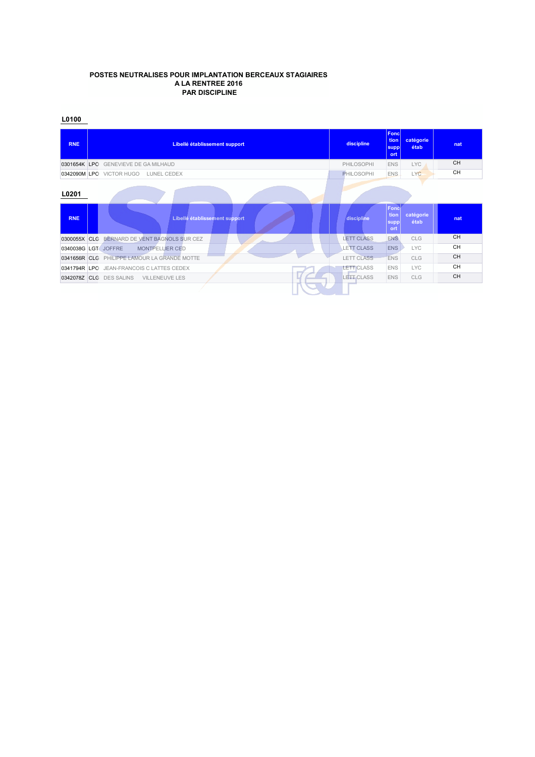#### **POSTES NEUTRALISES POUR IMPLANTATION BERCEAUX STAGIAIRES A LA RENTREE 2016 PAR DISCIPLINE**

| <b>RNE</b>   | Libellé établissement support                 | discipline        | Foncl<br>tion<br>supp<br>ort | catégorie<br>étab | nat       |
|--------------|-----------------------------------------------|-------------------|------------------------------|-------------------|-----------|
| 0301654K LPO | <b>GENEVIEVE DE GA MILHAUD</b>                | PHILOSOPHI        | <b>ENS</b>                   | <b>LYC</b>        | <b>CH</b> |
|              | 0342090M LPO VICTOR HUGO<br>LUNEL CEDEX       | <b>PHILOSOPHI</b> | <b>ENS</b>                   | <b>LYC</b>        | <b>CH</b> |
| L0201        |                                               |                   |                              |                   |           |
| <b>RNE</b>   | Libellé établissement support                 | discipline        | Fonc<br>tion<br>supp<br>ort  | catégorie<br>étab | nat       |
| 0300055X     | BERNARD DE VENT BAGNOLS SUR CEZ<br><b>CLG</b> | <b>LETT CLASS</b> | ENS.                         | <b>CLG</b>        | <b>CH</b> |
|              | 0340038G LGT JOFFRE<br><b>MONTPELLIER CED</b> | <b>LETT CLASS</b> | <b>ENS</b>                   | <b>LYC</b>        | <b>CH</b> |
|              | 0341656R CLG PHILIPPE LAMOUR LA GRANDE MOTTE  | <b>LETT CLASS</b> | <b>ENS</b>                   | CLG               | CH        |
|              | 0341794R LPO JEAN-FRANCOIS C LATTES CEDEX     | <b>LETT CLASS</b> | <b>ENS</b>                   | <b>LYC</b>        | <b>CH</b> |
| 0342078Z CLG | <b>DES SALINS</b><br><b>VILLENEUVE LES</b>    | LETT CLASS        | <b>ENS</b>                   | CLG               | <b>CH</b> |
|              |                                               |                   |                              |                   |           |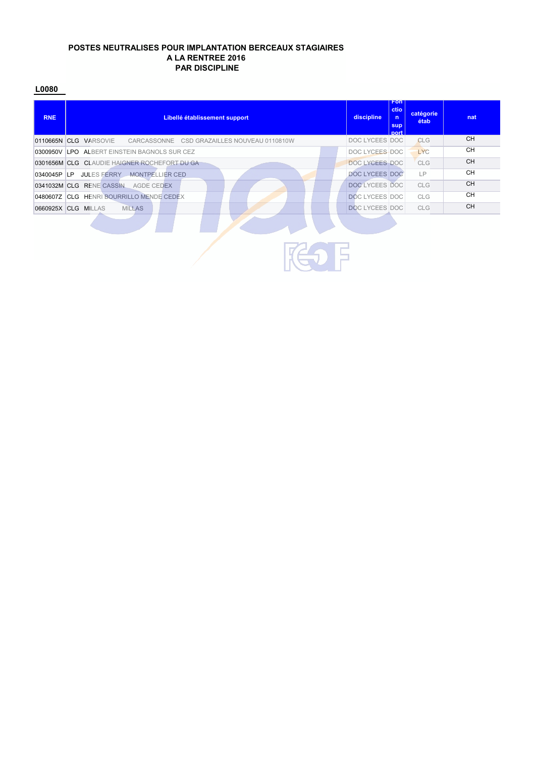#### **POSTES NEUTRALISES POUR IMPLANTATION BERCEAUX STAGIAIRES A LA RENTREE 2016 PAR DISCIPLINE**

| <b>RNE</b> | Libellé établissement support                                        | discipline            | <b>Fon</b><br>ctio<br>$\mathsf{n}$<br>sup<br>nort | catégorie<br>étab | nat       |  |  |  |  |
|------------|----------------------------------------------------------------------|-----------------------|---------------------------------------------------|-------------------|-----------|--|--|--|--|
|            | 0110665N CLG VARSOVIE<br>CARCASSONNE CSD GRAZAILLES NOUVEAU 0110810W | DOC LYCEES DOC        |                                                   | <b>CLG</b>        | <b>CH</b> |  |  |  |  |
|            | 0300950V LPO ALBERT EINSTEIN BAGNOLS SUR CEZ                         | DOC LYCEES DOC        |                                                   | <b>LYC</b>        | <b>CH</b> |  |  |  |  |
|            | 0301656M CLG CLAUDIE HAIGNER ROCHEFORT DU GA                         | DOC LYCEES DOC        |                                                   | <b>CLG</b>        | <b>CH</b> |  |  |  |  |
|            | 0340045P LP JULES FERRY MONTPELLIER CED                              | <b>DOC LYCEES DOC</b> |                                                   | LP                | <b>CH</b> |  |  |  |  |
|            | 0341032M CLG RENE CASSIN AGDE CEDEX                                  | DOC LYCEES DOC        |                                                   | <b>CLG</b>        | <b>CH</b> |  |  |  |  |
|            | 0480607Z CLG HENRI BOURRILLO MENDE CEDEX                             | <b>DOC LYCEES DOC</b> |                                                   | <b>CLG</b>        | <b>CH</b> |  |  |  |  |
|            | <b>MILLAS</b>                                                        |                       |                                                   | <b>CLG</b>        | <b>CH</b> |  |  |  |  |
|            | <b>DOC LYCEES DOC</b><br>0660925X CLG MILLAS<br>_                    |                       |                                                   |                   |           |  |  |  |  |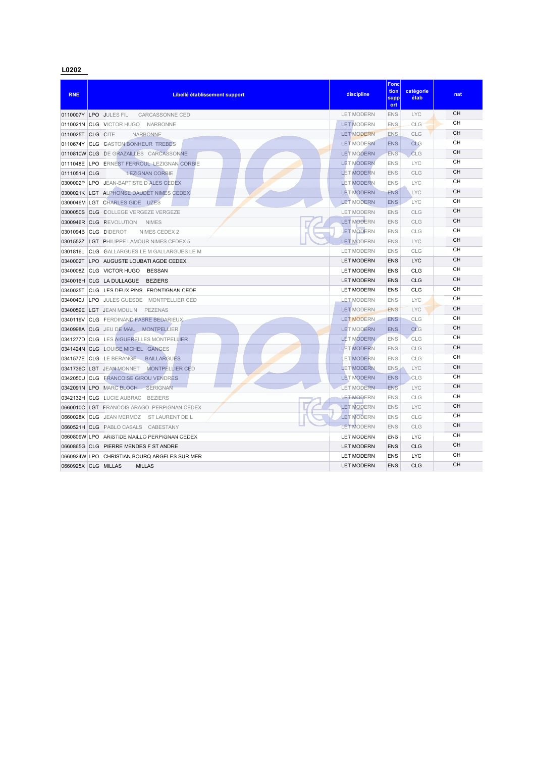| <b>RNE</b>        | Libellé établissement support                      | discipline        | <b>Fonc</b><br>tion<br>supp<br>ort | catégorie<br>étab | nat                    |
|-------------------|----------------------------------------------------|-------------------|------------------------------------|-------------------|------------------------|
|                   | 0110007Y LPO JULES FIL<br>CARCASSONNE CED          | <b>LET MODERN</b> | <b>ENS</b>                         | <b>LYC</b>        | <b>CH</b>              |
|                   | 0110021N CLG VICTOR HUGO NARBONNE                  | <b>LET MODERN</b> | <b>ENS</b>                         | CLG               | <b>CH</b>              |
| 0110025T CLG CITE | <b>NARBONNE</b>                                    | <b>LET MODERN</b> | <b>ENS</b>                         | CLG               | <b>CH</b>              |
|                   | 0110674Y CLG GASTON BONHEUR TREBES                 | <b>LET MODERN</b> | <b>ENS</b>                         | <b>CLG</b>        | <b>CH</b>              |
|                   | 0110810W CLG DE GRAZAILLES CARCASSONNE             | <b>LET MODERN</b> | <b>ENS</b>                         | CLG               | <b>CH</b>              |
|                   | 0111048E LPO ERNEST FERROUL LEZIGNAN CORBIE        | <b>LET MODERN</b> | <b>ENS</b>                         | <b>LYC</b>        | CН                     |
| 0111051H CLG      | <b>LEZIGNAN CORBIE</b>                             | <b>LET MODERN</b> | <b>ENS</b>                         | CLG               | CН                     |
| 0300002P          | LPO JEAN-BAPTISTE D ALES CEDEX                     | <b>LET MODERN</b> | <b>ENS</b>                         | <b>LYC</b>        | CН                     |
|                   | 0300021K LGT ALPHONSE DAUDET NIMES CEDEX           | <b>LET MODERN</b> | <b>ENS</b>                         | <b>LYC</b>        | <b>CH</b>              |
|                   | 0300046M LGT CHARLES GIDE UZES                     | <b>LET MODERN</b> | <b>ENS</b>                         | <b>LYC</b>        | <b>CH</b>              |
|                   | 0300050S CLG COLLEGE VERGEZE VERGEZE               | <b>LET MODERN</b> | <b>ENS</b>                         | CLG               | <b>CH</b>              |
|                   | 0300946R CLG REVOLUTION<br><b>NIMES</b>            | <b>LET MODERN</b> | <b>ENS</b>                         | CLG               | <b>CH</b>              |
|                   | 0301094B CLG DIDEROT<br>NIMES CEDEX 2              | <b>LET MODERN</b> | <b>ENS</b>                         | CLG               | CН                     |
|                   | 0301552Z LGT PHILIPPE LAMOUR NIMES CEDEX 5         | <b>LET MODERN</b> | <b>ENS</b>                         | <b>LYC</b>        | <b>CH</b>              |
|                   | 0301816L CLG GALLARGUES LE M GALLARGUES LE M       | <b>LET MODERN</b> | <b>ENS</b>                         | CLG               | <b>CH</b>              |
| 0340002T          | LPO AUGUSTE LOUBATI AGDE CEDEX                     | <b>LET MODERN</b> | <b>ENS</b>                         | <b>LYC</b>        | <b>CH</b>              |
|                   | 0340008Z CLG VICTOR HUGO<br><b>BESSAN</b>          | <b>LET MODERN</b> | <b>ENS</b>                         | <b>CLG</b>        | <b>CH</b>              |
|                   | 0340016H CLG LA DULLAGUE<br><b>BEZIERS</b>         | <b>LET MODERN</b> | <b>ENS</b>                         | <b>CLG</b>        | <b>CH</b>              |
| 0340025T          | CLG LES DEUX PINS FRONTIGNAN CEDE                  | <b>LET MODERN</b> | <b>FNS</b>                         | CLG               | <b>CH</b>              |
| 0340040J          | LPO JULES GUESDE MONTPELLIER CED                   | <b>LET MODERN</b> | <b>ENS</b>                         | <b>LYC</b>        | <b>CH</b>              |
|                   | 0340059E LGT JEAN MOULIN<br>PEZENAS                | <b>LET MODERN</b> | <b>ENS</b>                         | <b>LYC</b>        | <b>CH</b>              |
|                   | 0340119V CLG FERDINAND FABRE BEDARIEUX             | <b>LET MODERN</b> | <b>ENS</b>                         | CLG               | CН                     |
|                   | 0340998A CLG JEU DE MAIL MONTPELLIER               | <b>LET MODERN</b> | <b>ENS</b>                         | <b>CLG</b>        | <b>CH</b>              |
| 0341277D          | <b>CLG LES AIGUERELLES MONTPELLIER</b>             | <b>LET MODERN</b> | <b>ENS</b>                         | CLG               | CН                     |
|                   | 0341424N CLG LOUISE MICHEL GANGES                  | <b>LET MODERN</b> | <b>ENS</b>                         | CLG               | <b>CH</b>              |
| 0341577E          | CLG LE BERANGE<br><b>BAILLARGUES</b>               | <b>LET MODERN</b> | <b>ENS</b>                         | <b>CLG</b>        | CН                     |
|                   | 0341736C LGT JEAN MONNET<br><b>MONTPELLIER CED</b> | <b>LET MODERN</b> | ENS                                | <b>LYC</b>        | <b>CH</b>              |
|                   | 0342050U CLG FRANCOISE GIROU VENDRES               | <b>LET MODERN</b> | <b>ENS</b>                         | CLG               | <b>CH</b>              |
|                   | 0342091N LPO MARC BLOCH SERIGNAN                   | <b>LET MODERN</b> | <b>FNS</b>                         | <b>LYC</b>        | <b>CH</b><br><b>CH</b> |
|                   | 0342132H CLG LUCIE AUBRAC BEZIERS                  | <b>LET MODERN</b> | <b>ENS</b>                         | CLG               | CН                     |
|                   | 0660010C LGT FRANCOIS ARAGO PERPIGNAN CEDEX        | <b>LET MODERN</b> | <b>ENS</b>                         | <b>LYC</b>        |                        |
|                   | 0660028X CLG JEAN MERMOZ<br>ST LAURENT DE L        | <b>LET MODERN</b> | <b>ENS</b>                         | CLG               | CН<br><b>CH</b>        |
|                   | 0660521H CLG PABLO CASALS CABESTANY                | <b>LET MODERN</b> | <b>ENS</b>                         | CLG               |                        |
|                   | 0660809W LPO ARISTIDE MAILLO PERPIGNAN CEDEX       | <b>LET MODERN</b> | <b>ENS</b>                         | LYC               | CН<br>CH               |
|                   | 0660865G CLG PIERRE MENDES F ST ANDRE              | <b>LET MODERN</b> | <b>ENS</b>                         | <b>CLG</b>        | CH                     |
|                   | 0660924W LPO CHRISTIAN BOURQ ARGELES SUR MER       | <b>LET MODERN</b> | <b>ENS</b>                         | <b>LYC</b>        | <b>CH</b>              |
|                   | 0660925X CLG MILLAS<br><b>MILLAS</b>               | <b>LET MODERN</b> | <b>ENS</b>                         | CLG               |                        |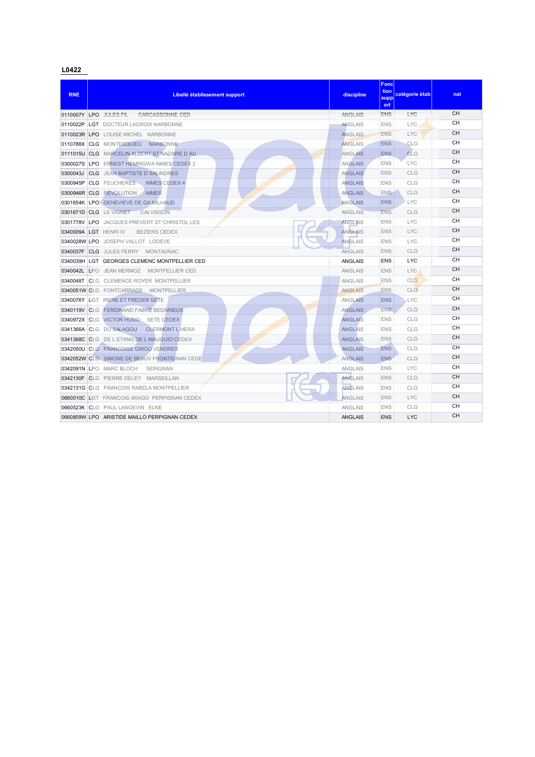| <b>RNE</b>   | Libellé établissement support                     | discipline     | Fonc<br>tion<br>supp<br>ort | catégorie étab | nat       |
|--------------|---------------------------------------------------|----------------|-----------------------------|----------------|-----------|
|              | 0110007Y LPO JULES FIL<br>CARCASSONNE CED         | <b>ANGLAIS</b> | <b>ENS</b>                  | LYC            | CH        |
| 0110022P     | <b>LGT DOCTEUR LACROIX NARBONNE</b>               | <b>ANGLAIS</b> | <b>ENS</b>                  | <b>LYC</b>     | <b>CH</b> |
|              | 0110023R LPO LOUISE MICHEL NARBONNE               | <b>ANGLAIS</b> | <b>ENS</b>                  | <b>LYC</b>     | <b>CH</b> |
|              | 0110788X CLG MONTESQUIEU<br><b>NARBONNE</b>       | <b>ANGLAIS</b> | <b>ENS</b>                  | CLG            | <b>CH</b> |
|              | 0111015U CLG MARCELIN ALBERT ST NAZAIRE D AU      | <b>ANGLAIS</b> | <b>ENS</b>                  | CLG            | <b>CH</b> |
|              | 0300027S LPO ERNEST HEMINGWA NIMES CEDEX 2        | <b>ANGLAIS</b> | <b>ENS</b>                  | <b>LYC</b>     | CН        |
| 0300043J     | <b>CLG</b> JEAN BAPTISTE D SALINDRES              | <b>ANGLAIS</b> | <b>ENS</b>                  | CLG            | <b>CH</b> |
| 0300945P     | <b>CLG</b> FEUCHERES<br>NIMES CEDEX 4             | <b>ANGLAIS</b> | <b>ENS</b>                  | CLG            | <b>CH</b> |
| 0300946R CLG | <b>REVOLUTION</b><br><b>NIMES</b>                 | <b>ANGLAIS</b> | <b>ENS</b>                  | CLG            | <b>CH</b> |
|              | 0301654K LPO GENEVIEVE DE GA MILHAUD              | <b>ANGLAIS</b> | <b>ENS</b>                  | <b>LYC</b>     | CH        |
|              | 0301671D CLG LEVIGNET<br>CALVISSON                | <b>ANGLAIS</b> | <b>ENS</b>                  | CLG            | CH        |
|              | 0301778V LPO JACQUES PREVERT ST CHRISTOL LES      | <b>ANGLAIS</b> | <b>ENS</b>                  | <b>LYC</b>     | <b>CH</b> |
|              | 0340009A LGT HENRIIV<br><b>BEZIERS CEDEX</b>      | <b>ANGLAIS</b> | <b>ENS</b>                  | <b>LYC</b>     | <b>CH</b> |
|              | 0340028W LPO JOSEPH VALLOT LODEVE                 | <b>ANGLAIS</b> | <b>ENS</b>                  | <b>LYC</b>     | CH        |
|              | 0340037F CLG JULES FERRY MONTAGNAC                | <b>ANGLAIS</b> | <b>ENS</b>                  | CLG            | <b>CH</b> |
|              | 0340039H LGT GEORGES CLEMENC MONTPELLIER CED      | <b>ANGLAIS</b> | <b>ENS</b>                  | <b>LYC</b>     | <b>CH</b> |
|              | 0340042L LPO JEAN MERMOZ MONTPELLIER CED          | <b>ANGLAIS</b> | <b>ENS</b>                  | <b>LYC</b>     | <b>CH</b> |
|              | 0340048T CLG CLEMENCE ROYER MONTPELLIER           | <b>ANGLAIS</b> | <b>ENS</b>                  | CLG            | CН        |
|              | 0340051W CLG FONTCARRADE MONTPELLIER              | <b>ANGLAIS</b> | <b>ENS</b>                  | CLG            | <b>CH</b> |
|              | 0340076Y LGT IRENE ET FREDER SETE                 | <b>ANGLAIS</b> | <b>ENS</b>                  | <b>LYC</b>     | <b>CH</b> |
|              | 0340119V CLG FERDINAND FABRE BEDARIEUX            | <b>ANGLAIS</b> | <b>ENS</b>                  | CLG            | CH        |
|              | 0340972X CLG VICTOR HUGO SETE CEDEX               | <b>ANGLAIS</b> | <b>ENS</b>                  | CLG            | <b>CH</b> |
|              | 0341366A CLG DU SALAGOU<br><b>CLERMONT L HERA</b> | <b>ANGLAIS</b> | <b>ENS</b>                  | <b>CLG</b>     | <b>CH</b> |
|              | 0341368C CLG DE L ETANG DE L MAUGUIO CEDEX        | <b>ANGLAIS</b> | <b>ENS</b>                  | CLG            | <b>CH</b> |
|              | 0342050U CLG FRANCOISE GIROU VENDRES              | <b>ANGLAIS</b> | <b>ENS</b>                  | CLG            | <b>CH</b> |
|              | 0342052W CLG SIMONE DE BEAUV FRONTIGNAN CEDE      | <b>ANGLAIS</b> | <b>ENS</b>                  | CLG            | <b>CH</b> |
|              | 0342091N LPO MARC BLOCH<br><b>SERIGNAN</b>        | <b>ANGLAIS</b> | <b>ENS</b>                  | <b>LYC</b>     | <b>CH</b> |
|              | 0342130F CLG PIERRE DELEY MARSEILLAN              | <b>ANGLAIS</b> | <b>ENS</b>                  | <b>CLG</b>     | <b>CH</b> |
|              | 0342131G CLG FRANCOIS RABELA MONTPELLIER          | <b>ANGLAIS</b> | <b>ENS</b>                  | CLG            | <b>CH</b> |
|              | 0660010C LGT FRANCOIS ARAGO PERPIGNAN CEDEX       | ANGLAIS        | <b>ENS</b>                  | <b>LYC</b>     | <b>CH</b> |
|              | 0660523K CLG PAUL LANGEVIN ELNE                   | <b>ANGLAIS</b> | <b>ENS</b>                  | CLG            | CН        |
|              | 0660809W LPO ARISTIDE MAILLO PERPIGNAN CEDEX      | <b>ANGLAIS</b> | <b>ENS</b>                  | <b>LYC</b>     | <b>CH</b> |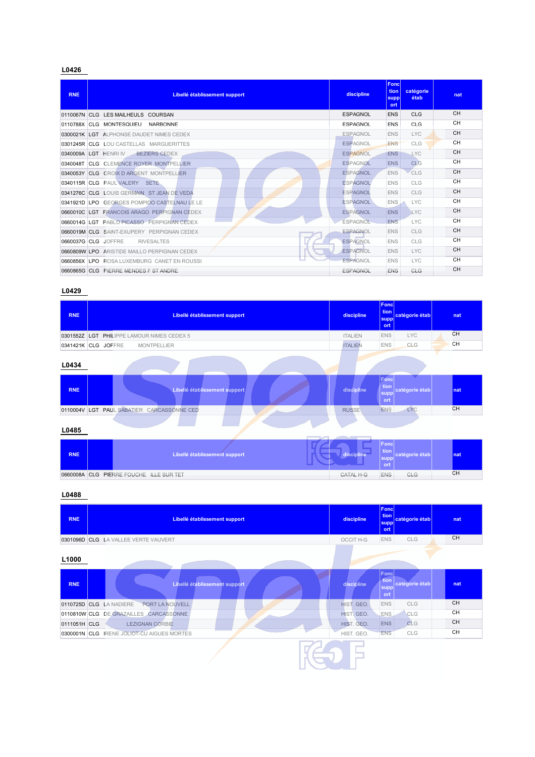| <b>RNE</b> | Libellé établissement support                | discipline      | Fonc<br>tion<br>suppl<br>ort | catégorie<br>étab | nat       |
|------------|----------------------------------------------|-----------------|------------------------------|-------------------|-----------|
| 0110067N   | CLG LES MAILHEULS COURSAN                    | ESPAGNOL        | <b>ENS</b>                   | CLG               | <b>CH</b> |
|            | 0110788X CLG MONTESQUIEU<br><b>NARBONNE</b>  | <b>ESPAGNOL</b> | <b>FNS</b>                   | CLG.              | <b>CH</b> |
|            | 0300021K LGT ALPHONSE DAUDET NIMES CEDEX     | <b>ESPAGNOL</b> | <b>ENS</b>                   | <b>LYC</b>        | <b>CH</b> |
|            | 0301245R CLG LOU CASTELLAS MARGUERITTES      | <b>ESPAGNOL</b> | <b>ENS</b>                   | CLG               | <b>CH</b> |
|            | 0340009A LGT HENRIN<br><b>BEZIERS CEDEX</b>  | <b>ESPAGNOL</b> | <b>ENS</b>                   | <b>LYC</b>        | <b>CH</b> |
| 0340048T   | <b>CLG CLEMENCE ROYER MONTPELLIER</b>        | <b>ESPAGNOL</b> | <b>ENS</b>                   | CI <sub>G</sub>   | <b>CH</b> |
| 0340053Y   | <b>CLG CROIX D ARGENT MONTPELLIER</b>        | <b>ESPAGNOL</b> | <b>ENS</b>                   | CLG               | <b>CH</b> |
|            | 0340115R CLG PAUL VALERY SETE                | <b>ESPAGNOL</b> | <b>ENS</b>                   | CLG               | <b>CH</b> |
|            | 0341276C CLG LOUIS GERMAIN ST JEAN DE VEDA   | <b>ESPAGNOL</b> | <b>ENS</b>                   | <b>CLG</b>        | <b>CH</b> |
|            | 0341921D LPO GEORGES POMPIDO CASTELNAU LE LE | <b>ESPAGNOL</b> | ENS.                         | <b>LYC</b>        | <b>CH</b> |
|            | 0660010C LGT FRANCOIS ARAGO PERPIGNAN CEDEX  | <b>ESPAGNOL</b> | <b>ENS</b>                   | <b>LYC</b>        | CH        |
|            | 0660014G LGT PABLO PICASSO PERPIGNAN CEDEX   | <b>ESPAGNOL</b> | <b>FNS</b>                   | <b>LYC</b>        | <b>CH</b> |
|            | 0660019M CLG SAINT-EXUPERY PERPIGNAN CEDEX   | <b>ESPAGNOL</b> | <b>ENS</b>                   | CLG               | <b>CH</b> |
|            | 0660037G CLG JOFFRE<br><b>RIVESALTES</b>     | <b>ESPAGNOL</b> | <b>ENS</b>                   | <b>CLG</b>        | <b>CH</b> |
|            | 0660809W LPO ARISTIDE MAILLO PERPIGNAN CEDEX | <b>ESPAGNOL</b> | <b>ENS</b>                   | <b>LYC</b>        | <b>CH</b> |
|            | 0660856X LPO ROSA LUXEMBURG CANET EN ROUSSI  | <b>ESPAGNOL</b> | <b>ENS</b>                   | <b>LYC</b>        | <b>CH</b> |
|            | 0660865G CLG PIERRE MENDES F ST ANDRE        | <b>ESPAGNOL</b> | <b>ENS</b>                   | CLG               | <b>CH</b> |

# **L0429**

| <b>RNE</b> | Libellé établissement support             | discipline     | Fonc<br>tion  <br>catégorie étab<br>supp<br>ort | nat |
|------------|-------------------------------------------|----------------|-------------------------------------------------|-----|
| 0301552Z   | LGT PHILIPPE LAMOUR NIMES CEDEX 5         | <b>ITALIEN</b> | <b>ENS</b><br><b>LYC</b>                        | CH  |
|            | 0341421K CLG JOFFRE<br><b>MONTPELLIER</b> | <b>ITALIEN</b> | <b>ENS</b><br>CLG                               | CH  |
| L0434      |                                           |                |                                                 |     |
| <b>RNE</b> | Libellé établissement support             | discipline     | Fond<br>tion<br>catégorie étab<br>supp<br>ort   | nat |
| 0110004V   | PAUL SABATIER CARCASSONNE CED<br>LGT      | <b>RUSSE</b>   | LYC<br><b>ENS</b>                               | CH  |
| L0485      |                                           |                |                                                 |     |
| <b>RNE</b> | Libellé établissement support             | discipline     | Fonc<br>tion<br>catégorie étab<br>supp<br>ort   | nat |
|            | 0660008A CLG PIERRE FOUCHE ILLE SUR TET   | CATAL H-G      | <b>ENS</b><br>CLG                               | CH  |

| <b>RNE</b>   | Libellé établissement support              | discipline | Fond<br>tion  <br>catégorie étab<br>supp<br>ort      | nat       |
|--------------|--------------------------------------------|------------|------------------------------------------------------|-----------|
|              | 0301096D CLG LA VALLEE VERTE VAUVERT       | OCCIT H-G  | <b>ENS</b><br>CLG                                    | <b>CH</b> |
| L1000        |                                            |            |                                                      |           |
| <b>RNE</b>   | Libellé établissement support              | discipline | <b>Fond</b><br>tion<br>catégorie étab<br>supp<br>ort | nat       |
|              | 0110725D CLG LA NADIERE<br>PORT LA NOUVELL | HIST. GEO. | <b>ENS</b><br>CLG                                    | CH        |
|              | 0110810W CLG DE GRAZAILLES CARCASSONNE     | HIST. GEO. | CLG<br>ENS.                                          | CH        |
| 0111051H CLG | <b>LEZIGNAN CORBIE</b>                     | HIST. GEO. | <b>ENS</b><br>CLG                                    | CH        |
|              | 0300001N CLG IRENE JOLIOT-CU AIGUES MORTES | HIST. GEO. | <b>ENS</b><br>CLG                                    | CH        |
|              |                                            |            |                                                      |           |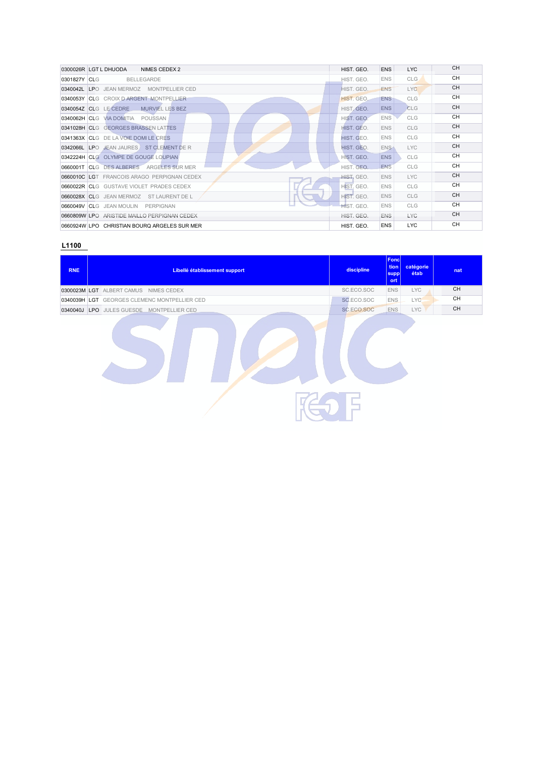| 0300026R LGT L DHUODA<br>NIMES CEDEX 2       | HIST. GEO.        | <b>ENS</b>       | <b>LYC</b> | <b>CH</b> |
|----------------------------------------------|-------------------|------------------|------------|-----------|
| 0301827Y CLG<br><b>BELLEGARDE</b>            | HIST. GEO.        | <b>ENS</b>       | <b>CLG</b> | <b>CH</b> |
| 0340042L LPO JEAN MERMOZ MONTPELLIER CED     | HIST. GEO.        | <b>ENS</b>       | LYC        | CH        |
| 0340053Y CLG CROIX D ARGENT MONTPELLIER      | HIST, GEO.        | <b>ENS</b>       | <b>CLG</b> | <b>CH</b> |
| 0340054Z CLG LE CEDRE<br>MURVIEL LES BEZ     | HIST, GEO.        | <b>ENS</b>       | <b>CLG</b> | <b>CH</b> |
| 0340062H CLG VIA DOMITIA POUSSAN             | HIST. GEO.        | <b>ENS</b>       | <b>CLG</b> | <b>CH</b> |
| 0341028H CLG GEORGES BRASSEN LATTES          | HIST. GEO.        | <b>ENS</b>       | <b>CLG</b> | <b>CH</b> |
| 0341363X CLG DE LA VOIE DOMILE CRES          | HIST. GEO.        | <b>ENS</b>       | <b>CLG</b> | <b>CH</b> |
| 0342066L LPO JEAN JAURES ST CLEMENT DE R     | HIST, GEO.        | ENS <sup>®</sup> | LYC.       | <b>CH</b> |
| 0342224H CLG OLYMPE DE GOUGE LOUPIAN         | HIST. GEO.        | <b>ENS</b>       | <b>CLG</b> | <b>CH</b> |
| 0660001T CLG DES ALBERES ARGELES SUR MER     | HIST. GEO.        | <b>ENS</b>       | <b>CLG</b> | <b>CH</b> |
| 0660010C LGT FRANCOIS ARAGO PERPIGNAN CEDEX  | <b>HIST, GEO.</b> | <b>ENS</b>       | <b>LYC</b> | <b>CH</b> |
| 0660022R CLG GUSTAVE VIOLET PRADES CEDEX     | HIST. GEO.        | <b>ENS</b>       | <b>CLG</b> | <b>CH</b> |
| 0660028X CLG JEAN MERMOZ ST LAURENT DE L     | HIST. GEO.        | <b>ENS</b>       | <b>CLG</b> | <b>CH</b> |
| 0660049V CLG JEAN MOULIN PERPIGNAN           | HIST. GEO.        | <b>ENS</b>       | <b>CLG</b> | <b>CH</b> |
| 0660809W LPO ARISTIDE MAILLO PERPIGNAN CEDEX | HIST. GEO.        | <b>ENS</b>       | <b>LYC</b> | <b>CH</b> |
| 0660924W LPO CHRISTIAN BOURQ ARGELES SUR MER | HIST. GEO.        | <b>ENS</b>       | LYC.       | <b>CH</b> |

| <b>RNE</b> | Libellé établissement support                | discipline      | <b>Fonc</b><br>tion<br>supp <br>ort | catégorie<br>étab | nat |
|------------|----------------------------------------------|-----------------|-------------------------------------|-------------------|-----|
|            | 0300023M LGT ALBERT CAMUS NIMES CEDEX        | SC.ECO.SOC      | <b>ENS</b>                          | <b>LYC</b>        | CH  |
|            | 0340039H LGT GEORGES CLEMENC MONTPELLIER CED | SC.ECO.SOC      | <b>ENS</b>                          | <b>LYC</b>        | CH  |
|            | 0340040J LPO JULES GUESDE MONTPELLIER CED    | SC.ECO.SOC      | <b>ENS</b>                          | <b>LYC</b>        | CH  |
|            |                                              |                 |                                     |                   |     |
|            |                                              | <b>Contract</b> |                                     |                   |     |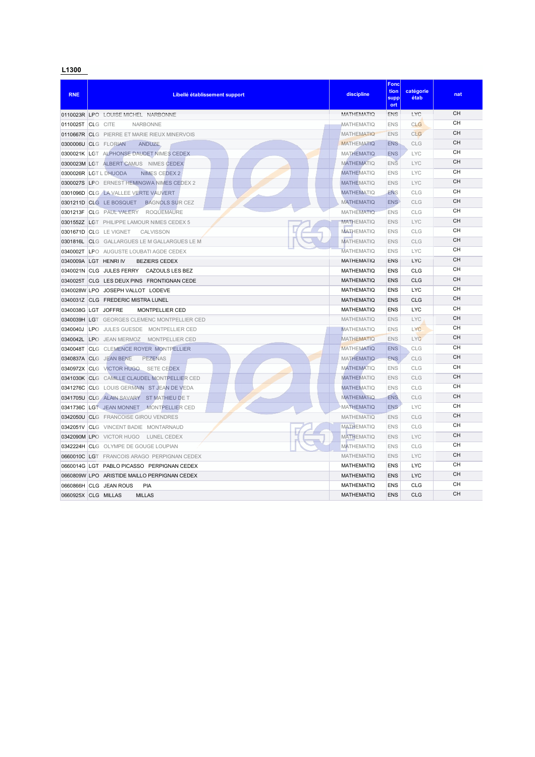| <b>RNE</b> | Libellé établissement support                                               | discipline                             | <b>Fonc</b><br>tion<br>supp<br>ort | catégorie<br>étab | nat       |
|------------|-----------------------------------------------------------------------------|----------------------------------------|------------------------------------|-------------------|-----------|
|            | 0110023R LPO LOUISE MICHEL NARBONNE                                         | MATHEMATIO                             | <b>ENS</b>                         | LYC               | <b>CH</b> |
| 0110025T   | CLG CITE<br><b>NARBONNE</b>                                                 | <b>MATHEMATIQ</b>                      | <b>ENS</b>                         | CLG               | <b>CH</b> |
|            | 0110667R CLG PIERRE ET MARIE RIEUX MINERVOIS                                | <b>MATHEMATIO</b>                      | <b>ENS</b>                         | CLG               | <b>CH</b> |
|            | 0300006U CLG FLORIAN<br><b>ANDUZE</b>                                       | <b>MATHEMATIQ</b>                      | <b>ENS</b>                         | <b>CLG</b>        | <b>CH</b> |
|            | 0300021K LGT ALPHONSE DAUDET NIMES CEDEX                                    | <b>MATHEMATIO</b>                      | <b>ENS</b>                         | <b>LYC</b>        | CН        |
|            | 0300023M LGT ALBERT CAMUS NIMES CEDEX                                       | <b>MATHEMATIQ</b>                      | <b>ENS</b>                         | <b>LYC</b>        | <b>CH</b> |
|            | 0300026R LGT L DHUODA<br><b>NIMES CEDEX 2</b>                               | <b>MATHEMATIO</b>                      | <b>ENS</b>                         | <b>LYC</b>        | CН        |
| 0300027S   | LPO ERNEST HEMINGWA NIMES CEDEX 2                                           | <b>MATHEMATIQ</b>                      | <b>ENS</b>                         | LYC               | <b>CH</b> |
|            | 0301096D CLG LA VALLEE VERTE VAUVERT                                        | <b>MATHEMATIQ</b>                      | <b>ENS</b>                         | CLG               | CН        |
|            | <b>BAGNOLS SUR CEZ</b><br>0301211D CLG LE BOSQUET                           | <b>MATHEMATIQ</b>                      | <b>ENS</b>                         | CLG               | CН        |
| 0301213F   | <b>ROQUEMAURE</b><br><b>CLG</b> PAUL VALERY                                 | <b>MATHEMATIQ</b>                      | <b>ENS</b>                         | CLG               | CН        |
| 0301552Z   | <b>LGT PHILIPPE LAMOUR NIMES CEDEX 5</b>                                    | <b>MATHEMATIQ</b>                      | <b>ENS</b>                         | <b>LYC</b>        | CH        |
|            | 0301671D CLG LE VIGNET<br><b>CALVISSON</b>                                  | <b>MATHEMATIQ</b>                      | <b>ENS</b>                         | CLG               | CH        |
| 0301816L   | CLG GALLARGUES LE M GALLARGUES LE M                                         | <b>MATHEMATIQ</b>                      | <b>ENS</b>                         | CLG               | CН        |
| 0340002T   | <b>LPO AUGUSTE LOUBATI AGDE CEDEX</b>                                       | <b>MATHEMATIQ</b>                      | <b>ENS</b>                         | <b>LYC</b>        | CН        |
| 0340009A   | LGT HENRI IV<br><b>BEZIERS CEDEX</b>                                        | <b>MATHEMATIQ</b>                      | <b>ENS</b>                         | <b>LYC</b>        | CН<br>CH  |
|            | 0340021N CLG JULES FERRY<br>CAZOULS LES BEZ                                 | <b>MATHEMATIQ</b>                      | <b>ENS</b>                         | CLG               | CH        |
| 0340025T   | CLG LES DEUX PINS FRONTIGNAN CEDE                                           | <b>MATHEMATIQ</b>                      | <b>ENS</b>                         | <b>CLG</b>        | CH        |
|            | 0340028W LPO JOSEPH VALLOT LODEVE                                           | <b>MATHEMATIQ</b>                      | <b>ENS</b>                         | <b>LYC</b>        | CH        |
|            | 0340031Z CLG FREDERIC MISTRA LUNEL                                          | <b>MATHEMATIQ</b>                      | <b>ENS</b>                         | CLG               | CH        |
|            | 0340038G LGT JOFFRE<br><b>MONTPELLIER CED</b>                               | <b>MATHEMATIQ</b>                      | <b>ENS</b>                         | <b>LYC</b>        | CН        |
|            | 0340039H LGT GEORGES CLEMENC MONTPELLIER CED                                | <b>MATHEMATIO</b>                      | <b>ENS</b>                         | <b>LYC</b>        | CН        |
| 0340040J   | LPO JULES GUESDE MONTPELLIER CED                                            | <b>MATHEMATIQ</b>                      | <b>ENS</b>                         | LYC<br><b>LYC</b> | <b>CH</b> |
| 0340042L   | LPO JEAN MERMOZ<br><b>MONTPELLIER CED</b><br>CLG CLEMENCE ROYER MONTPELLIER | <b>MATHEMATIO</b><br><b>MATHEMATIQ</b> | <b>ENS</b><br><b>ENS</b>           | CLG               | CН        |
| 0340048T   | 0340837A CLG JEAN BENE<br><b>PEZENAS</b>                                    | <b>MATHEMATIQ</b>                      | <b>ENS</b>                         | <b>CLG</b>        | <b>CH</b> |
|            | 0340972X CLG VICTOR HUGO SETE CEDEX                                         | <b>MATHEMATIO</b>                      | <b>ENS</b>                         | CLG               | <b>CH</b> |
|            | 0341030K CLG CAMILLE CLAUDEL MONTPELLIER CED                                | <b>MATHEMATIQ</b>                      | <b>ENS</b>                         | CLG               | <b>CH</b> |
|            | 0341276C CLG LOUIS GERMAIN ST JEAN DE VEDA                                  | <b>MATHEMATIO</b>                      | <b>ENS</b>                         | CLG               | <b>CH</b> |
|            | 0341705U CLG ALAIN SAVARY ST MATHIEU DE T                                   | <b>MATHEMATIQ</b>                      | <b>ENS</b>                         | CLG               | CH        |
| 0341736C   | LGT JEAN MONNET MONTPELLIER CED                                             | <b>MATHEMATIQ</b>                      | <b>ENS</b>                         | <b>LYC</b>        | CН        |
|            | 0342050U CLG FRANCOISE GIROU VENDRES                                        | <b>MATHEMATIQ</b>                      | <b>ENS</b>                         | CLG               | <b>CH</b> |
| 0342051V   | <b>CLG VINCENT BADIE MONTARNAUD</b>                                         | <b>MATHEMATIO</b>                      | <b>ENS</b>                         | CLG               | CН        |
|            | 0342090M LPO VICTOR HUGO<br>LUNEL CEDEX                                     | <b>MATHEMATIQ</b>                      | <b>ENS</b>                         | LYC               | <b>CH</b> |
|            | 0342224H CLG OLYMPE DE GOUGE LOUPIAN                                        | <b>MATHEMATIQ</b>                      | <b>ENS</b>                         | CLG               | CН        |
|            | 0660010C LGT FRANCOIS ARAGO PERPIGNAN CEDEX                                 | <b>MATHEMATIQ</b>                      | <b>ENS</b>                         | LYC               | CН        |
|            | 0660014G LGT PABLO PICASSO PERPIGNAN CEDEX                                  | <b>MATHEMATIQ</b>                      | <b>ENS</b>                         | <b>LYC</b>        | CН        |
|            | 0660809W LPO ARISTIDE MAILLO PERPIGNAN CEDEX                                | <b>MATHEMATIQ</b>                      | <b>ENS</b>                         | <b>LYC</b>        | CH        |
| 0660866H   | <b>CLG</b> JEAN ROUS<br>PIA                                                 | <b>MATHEMATIQ</b>                      | <b>ENS</b>                         | CLG               | CH        |
|            | 0660925X CLG MILLAS<br><b>MILLAS</b>                                        | <b>MATHEMATIQ</b>                      | <b>ENS</b>                         | CLG               | CH        |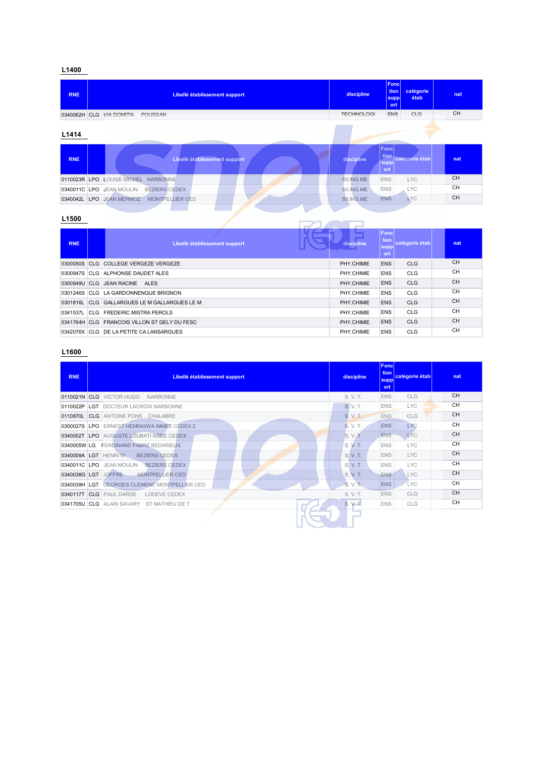| <b>RNE</b> | Libellé établissement support                    | discipline        | Fonc<br>tion<br><b>supp</b><br>ort | catégorie<br>étab | nat       |
|------------|--------------------------------------------------|-------------------|------------------------------------|-------------------|-----------|
|            | 0340062H CLG VIA DOMITIA<br>POUSSAN              | <b>TECHNOLOGI</b> | <b>ENS</b>                         | CLG               | <b>CH</b> |
| L1414      |                                                  |                   |                                    |                   |           |
| <b>RNE</b> | Libellé établissement support                    | discipline        | Fonc<br>tion<br>supp<br>ort        | catégorie étab    | nat       |
|            | 0110023R LPO LOUISE MICHEL NARBONNE              | SII.ING.ME        | <b>ENS</b>                         | <b>LYC</b>        | <b>CH</b> |
|            | <b>BEZIERS CEDEX</b><br>0340011C LPO JEAN MOULIN | SII.ING.ME        | <b>ENS</b>                         | <b>LYC</b>        | <b>CH</b> |
| 0340042L   | LPO JEAN MERMOZ<br><b>MONTPELLIER CED</b>        | SILING.ME         | <b>ENS</b>                         | <b>LYC</b>        | <b>CH</b> |
|            |                                                  |                   |                                    |                   |           |

## **L1500**

| <b>RNE</b> | Libellé établissement support                | discipline | <b>Fonc</b><br>tion<br>supp<br>ort | catégorie étab | nat       |
|------------|----------------------------------------------|------------|------------------------------------|----------------|-----------|
|            | 0300050S CLG COLLEGE VERGEZE VERGEZE         | PHY.CHIMIE | <b>ENS</b>                         | <b>CLG</b>     | <b>CH</b> |
|            | 0300947S CLG ALPHONSE DAUDET ALES            | PHY.CHIMIE | <b>ENS</b>                         | <b>CLG</b>     | <b>CH</b> |
|            | 0300949U CLG JEAN RACINE<br>ALES             | PHY.CHIMIE | <b>ENS</b>                         | <b>CLG</b>     | <b>CH</b> |
|            | 0301246S CLG LA GARDONNENQUE BRIGNON         | PHY CHIMIE | <b>ENS</b>                         | <b>CLG</b>     | <b>CH</b> |
| 0301816L   | CLG GALLARGUES LE M GALLARGUES LE M          | PHY CHIMIE | <b>ENS</b>                         | <b>CLG</b>     | <b>CH</b> |
| 0341537L   | <b>CLG FREDERIC MISTRA PEROLS</b>            | PHY CHIMIE | <b>ENS</b>                         | <b>CLG</b>     | <b>CH</b> |
|            | 0341764H CLG FRANCOIS VILLON ST GELY DU FESC | PHY.CHIMIE | <b>ENS</b>                         | <b>CLG</b>     | <b>CH</b> |
|            | 0342076X CLG DE LA PETITE CA LANSARGUES      | PHY.CHIMIE | <b>ENS</b>                         | <b>CLG</b>     | <b>CH</b> |

| <b>RNE</b> | Libellé établissement support                    | discipline | Foncl<br>tion  <br>supp<br>ort. | catégorie étab | nat       |
|------------|--------------------------------------------------|------------|---------------------------------|----------------|-----------|
|            | 0110021N CLG VICTOR HUGO<br>NARBONNE             | S. V. T.   | <b>ENS</b>                      | CLG            | <b>CH</b> |
| 0110022P   | <b>LGT</b> DOCTEUR LACROIX NARBONNE              | S. V. T.   | <b>ENS</b>                      | <b>LYC</b>     | <b>CH</b> |
| 0110870L   | <b>CLG</b> ANTOINE PONS CHALABRE                 | S. V. T.   | <b>ENS</b>                      | <b>CLG</b>     | <b>CH</b> |
|            | 0300027S LPO ERNEST HEMINGWA NIMES CEDEX 2       | S. V. T.   | <b>ENS</b>                      | <b>LYC</b>     | <b>CH</b> |
|            | 0340002T LPO AUGUSTE LOUBATI AGDE CEDEX          | S. V. T.   | <b>ENS</b>                      | <b>LYC</b>     | <b>CH</b> |
|            | 0340005W LG FERDINAND FABRE BEDARIEUX            | S.V.T.     | <b>ENS</b>                      | <b>LYC</b>     | <b>CH</b> |
|            | 0340009A LGT HENRIN<br><b>BEZIERS CEDEX</b>      | S. V. T.   | <b>ENS</b>                      | <b>LYC</b>     | CH        |
|            | 0340011C LPO JEAN MOULIN<br><b>BEZIERS CEDEX</b> | S. V. T.   | <b>ENS</b>                      | <b>LYC</b>     | <b>CH</b> |
|            | 0340038G LGT JOFFRE<br><b>MONTPELLIER CED</b>    | S. V. T.   | <b>ENS</b>                      | <b>LYC</b>     | <b>CH</b> |
|            | 0340039H LGT GEORGES CLEMENC MONTPELLIER CED     | S. V. T.   | <b>ENS</b>                      | <b>LYC</b>     | <b>CH</b> |
|            | 0340117T CLG PAUL DARDE<br>LODEVE CEDEX          | S. V. T.   | <b>ENS</b>                      | CLG            | CH        |
|            | 0341705U CLG ALAIN SAVARY ST MATHIEU DE T        | S. V. T.   | <b>ENS</b>                      | <b>CLG</b>     | <b>CH</b> |
|            |                                                  |            |                                 |                |           |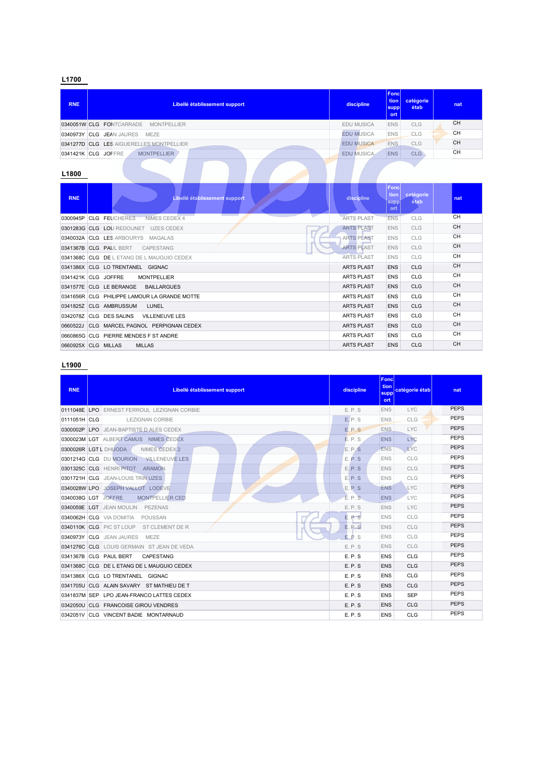| <b>RNE</b>   | Libellé établissement support             | discipline        | <b>Foncl</b><br>tion<br>catégorie<br>étab<br><b>supp</b><br>ort | nat       |
|--------------|-------------------------------------------|-------------------|-----------------------------------------------------------------|-----------|
|              | 0340051W CLG FONTCARRADE MONTPELLIER      | EDU MUSICA        | <b>ENS</b><br><b>CLG</b>                                        | <b>CH</b> |
|              | 0340973Y CLG JEAN JAURES MEZE             | <b>EDU MUSICA</b> | <b>ENS</b><br>CLG                                               | <b>CH</b> |
|              | 0341277D CLG LES AIGUERELLES MONTPELLIER  | <b>EDU MUSICA</b> | ENS.<br><b>CLG</b>                                              | CH        |
|              | 0341421K CLG JOFFRE<br><b>MONTPELLIER</b> | <b>EDU MUSICA</b> | <b>CLG</b><br><b>ENS</b>                                        | CH        |
| $\mathbf{r}$ |                                           |                   |                                                                 |           |

#### **L1800**

| <b>RNE</b> | Libellé établissement support                    | discipline        | <b>Fonc</b><br>tion<br>supp<br>ort | catégorie<br>étab | nat       |
|------------|--------------------------------------------------|-------------------|------------------------------------|-------------------|-----------|
| 0300945P   | <b>CLG FEUCHERES</b><br>NIMES CEDEX 4            | <b>ARTS PLAST</b> | <b>ENS</b>                         | CLG               | <b>CH</b> |
|            | 0301283G CLG LOU REDOUNET<br><b>UZES CEDEX</b>   | <b>ARTS PLAST</b> | <b>ENS</b>                         | CLG               | <b>CH</b> |
|            | 0340032A CLG LES ARBOURYS<br><b>MAGALAS</b>      | <b>ARTS PLAST</b> | <b>ENS</b>                         | CLG               | <b>CH</b> |
|            | 0341367B CLG PAUL BERT<br>CAPESTANG              | <b>ARTS PLAST</b> | <b>ENS</b>                         | <b>CLG</b>        | <b>CH</b> |
|            | 0341368C CLG DE L ETANG DE L MAUGUIO CEDEX       | <b>ARTS PLAST</b> | <b>ENS</b>                         | CLG               | СH        |
|            | 0341386X CLG LO TRENTANEL GIGNAC                 | <b>ARTS PLAST</b> | ENS                                | <b>CLG</b>        | <b>CH</b> |
|            | 0341421K CLG JOFFRE<br><b>MONTPELLIER</b>        | <b>ARTS PLAST</b> | <b>ENS</b>                         | <b>CLG</b>        | <b>CH</b> |
|            | 0341577E CLG LE BERANGE<br><b>BAILLARGUES</b>    | <b>ARTS PLAST</b> | <b>ENS</b>                         | <b>CLG</b>        | CH        |
|            | 0341656R CLG PHILIPPE LAMOUR LA GRANDE MOTTE     | <b>ARTS PLAST</b> | <b>ENS</b>                         | <b>CLG</b>        | <b>CH</b> |
|            | 0341825Z CLG AMBRUSSUM<br>LUNEL                  | <b>ARTS PLAST</b> | <b>ENS</b>                         | <b>CLG</b>        | <b>CH</b> |
|            | 0342078Z CLG DES SALINS<br><b>VILLENEUVE LES</b> | <b>ARTS PLAST</b> | <b>ENS</b>                         | <b>CLG</b>        | <b>CH</b> |
| 0660522J   | CLG MARCEL PAGNOL PERPIGNAN CEDEX                | <b>ARTS PLAST</b> | <b>ENS</b>                         | <b>CLG</b>        | <b>CH</b> |
|            | 0660865G CLG PIERRE MENDES F ST ANDRE            | <b>ARTS PLAST</b> | <b>ENS</b>                         | <b>CLG</b>        | <b>CH</b> |
|            | <b>MILLAS</b><br>0660925X CLG MILLAS             | <b>ARTS PLAST</b> | <b>ENS</b>                         | <b>CLG</b>        | <b>CH</b> |

| <b>RNE</b>   | Libellé établissement support                    | discipline   | <b>Fond</b><br>tion<br>catégorie étab<br>supp<br>ort | nat         |
|--------------|--------------------------------------------------|--------------|------------------------------------------------------|-------------|
| 0111048E     | <b>LPO ERNEST FERROUL LEZIGNAN CORBIE</b>        | E.P.S        | <b>ENS</b><br><b>LYC</b>                             | <b>PEPS</b> |
| 0111051H CLG | <b>LEZIGNAN CORBIE</b>                           | E.P.S        | CLG<br><b>ENS</b>                                    | <b>PEPS</b> |
| 0300002P     | <b>LPO</b> JEAN-BAPTISTE D ALES CEDEX            | E.P.S        | <b>LYC</b><br>ENS.                                   | <b>PEPS</b> |
|              | 0300023M LGT ALBERT CAMUS NIMES CEDEX            | E.P.S        | <b>LYC</b><br><b>ENS</b>                             | <b>PEPS</b> |
|              | NIMES CEDEX 2<br>0300026R LGT L DHUODA           | E.P.S        | <b>ENS</b><br><b>LYC</b>                             | <b>PEPS</b> |
|              | 0301214G CLG DU MOURION<br><b>VILLENEUVE LES</b> | E.P.S        | <b>ENS</b><br>CLG                                    | <b>PEPS</b> |
|              | 0301325C CLG HENRI PITOT<br><b>ARAMON</b>        | E.P.S        | CLG<br><b>ENS</b>                                    | <b>PEPS</b> |
|              | 0301721H CLG JEAN-LOUIS TRIN UZES                | E.P.S        | <b>ENS</b><br>CLG                                    | <b>PEPS</b> |
|              | 0340028W LPO JOSEPH VALLOT LODEVE                | E.P.S        | <b>LYC</b><br><b>ENS</b>                             | <b>PEPS</b> |
|              | 0340038G LGT JOFFRE<br><b>MONTPELLIER CED</b>    | E.P.S        | <b>ENS</b><br><b>LYC</b>                             | <b>PEPS</b> |
|              | 0340059E LGT JEAN MOULIN<br>PEZENAS              | E.P.S        | <b>LYC</b><br><b>ENS</b>                             | <b>PEPS</b> |
|              | 0340062H CLG VIA DOMITIA<br>POUSSAN              | <b>E.P.S</b> | CLG<br><b>ENS</b>                                    | <b>PEPS</b> |
|              | 0340110K CLG PIC ST LOUP<br>ST CLEMENT DE R      | E.P.S        | CLG<br><b>ENS</b>                                    | <b>PEPS</b> |
|              | 0340973Y CLG JEAN JAURES<br><b>MEZE</b>          | E.P.S        | CLG<br><b>ENS</b>                                    | <b>PEPS</b> |
|              | 0341276C CLG LOUIS GERMAIN ST JEAN DE VEDA       | E.P.S        | CLG<br><b>ENS</b>                                    | <b>PEPS</b> |
|              | CAPESTANG<br>0341367B CLG PAUL BERT              | E.P.S        | ENS<br>CLG                                           | <b>PEPS</b> |
| 0341368C     | CLG DE L ETANG DE L MAUGUIO CEDEX                | E.P.S        | <b>ENS</b><br>CLG                                    | <b>PEPS</b> |
|              | 0341386X CLG LO TRENTANEL GIGNAC                 | E.P.S        | <b>ENS</b><br>CLG                                    | <b>PEPS</b> |
| 0341705U     | CLG ALAIN SAVARY ST MATHIEU DE T                 | E.P.S        | <b>ENS</b><br>CLG                                    | <b>PEPS</b> |
|              | 0341837M SEP LPO JEAN-FRANCO LATTES CEDEX        | E.P.S        | <b>SEP</b><br><b>ENS</b>                             | <b>PEPS</b> |
| 0342050U     | CLG FRANCOISE GIROU VENDRES                      | E.P.S        | <b>ENS</b><br><b>CLG</b>                             | <b>PEPS</b> |
|              | 0342051V CLG VINCENT BADIE MONTARNAUD            | E.P.S        | <b>CLG</b><br><b>ENS</b>                             | <b>PEPS</b> |